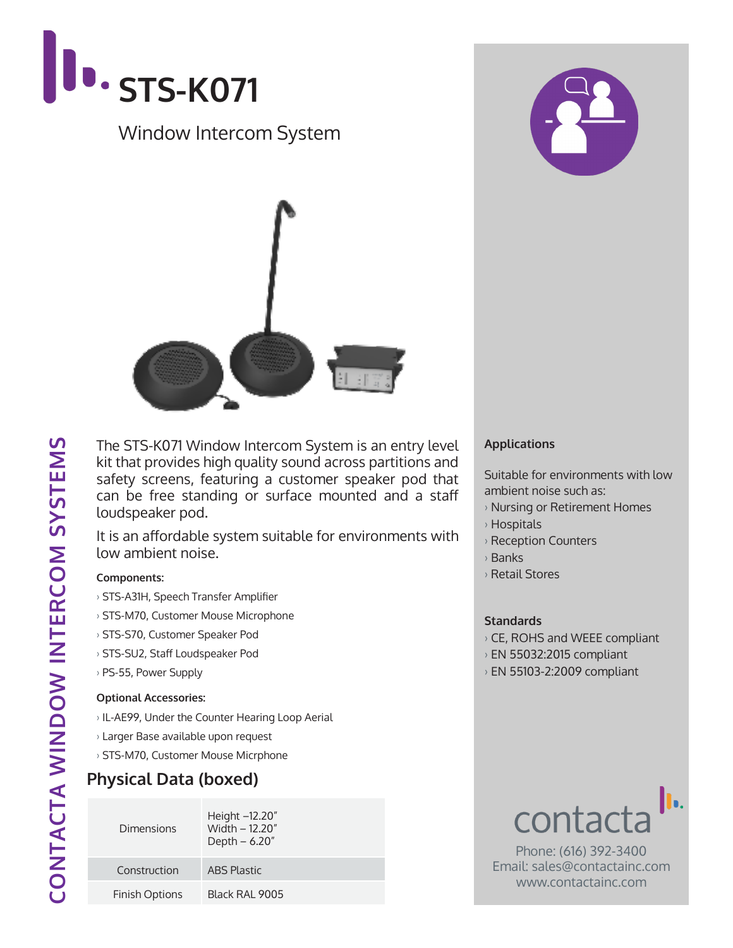

## Window Intercom System



The STS-K071 Window Intercom System is an entry level kit that provides high quality sound across partitions and safety screens, featuring a customer speaker pod that can be free standing or surface mounted and a staff loudspeaker pod.

It is an affordable system suitable for environments with low ambient noise.

### **Components:**

- › STS-A31H, Speech Transfer Amplifier
- › STS-M70, Customer Mouse Microphone
- › STS-S70, Customer Speaker Pod
- › STS-SU2, Staff Loudspeaker Pod
- › PS-55, Power Supply

### **Optional Accessories:**

- › IL-AE99, Under the Counter Hearing Loop Aerial
- › Larger Base available upon request
- › STS-M70, Customer Mouse Micrphone

### **Physical Data (boxed)**

| Dimensions            | Height -12.20"<br>Width - 12.20"<br>Depth $-6.20"$ |
|-----------------------|----------------------------------------------------|
| Construction          | <b>ABS Plastic</b>                                 |
| <b>Finish Options</b> | Black RAI 9005                                     |



### **Applications**

Suitable for environments with low ambient noise such as:

- › Nursing or Retirement Homes
- › Hospitals
- › Reception Counters
- › Banks
- › Retail Stores

### **Standards**

- › CE, ROHS and WEEE compliant
- › EN 55032:2015 compliant
- › EN 55103-2:2009 compliant



Phone: (616) 392-3400 Email: sales@contactainc.com www.contactainc.com